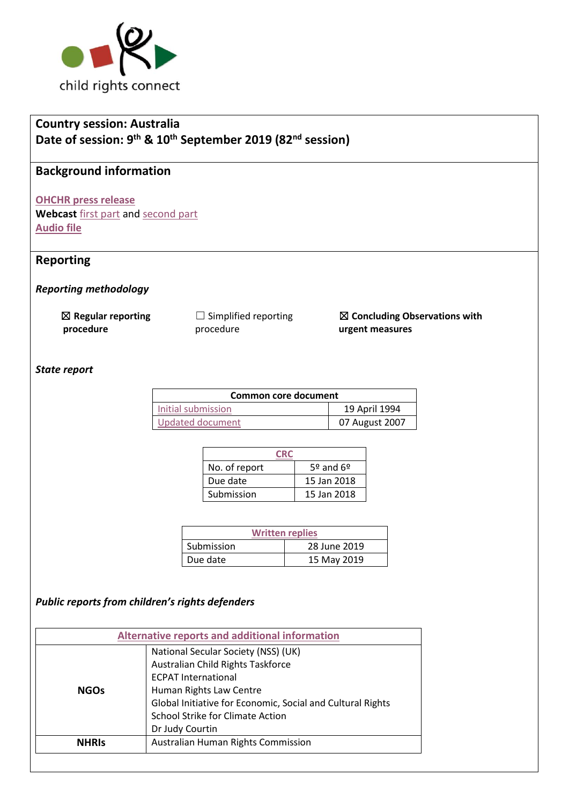

## **Country session: Australia Date of session: 9 th & 10th September 2019 (82nd session)**

# **Background information**

**[OHCHR press release](https://www.ohchr.org/EN/NewsEvents/Pages/DisplayNews.aspx?NewsID=24974&LangID=E)** 

**Webcast** [first part](http://webtv.un.org/search/consideration-of-australia-2402nd-meeting-82nd-session-committee-on-the-rights-of-the-child/6084871007001/?term=australia&sort=date&page=4) and [second part](http://webtv.un.org/search/consideration-of-australia-contd-2403rd-meeting-82nd-session-committee-on-the-rights-of-the-child/6085002351001/?term=australia&sort=date&page=4) **[Audio file](https://conf.unog.ch/digitalrecordings/index.html?guid=public/61.0060/FC9F6F53-C262-4403-9E47-0DA33C586AC5_09h59&position=0)**

## **Reporting**

*Reporting methodology*

| $\boxtimes$ Regular reporting | $\Box$ Sim |
|-------------------------------|------------|
| procedure                     | proced     |

nplified reporting dure

☒ **Concluding Observations with urgent measures**

#### *State report*

| Common core document |                |  |
|----------------------|----------------|--|
| Initial submission   | 19 April 1994  |  |
| Updated document     | 07 August 2007 |  |

| CR <sub>1</sub> |               |  |
|-----------------|---------------|--|
| No. of report   | $5°$ and $6°$ |  |
| Due date        | 15 Jan 2018   |  |
| Submission      | 15 Jan 2018   |  |

| <b>Written replies</b> |              |  |
|------------------------|--------------|--|
| Submission             | 28 June 2019 |  |
| Due date               | 15 May 2019  |  |

#### *Public reports from children's rights defenders*

| <b>Alternative reports and additional information</b> |                                                                                                                                                                                                                                                               |  |
|-------------------------------------------------------|---------------------------------------------------------------------------------------------------------------------------------------------------------------------------------------------------------------------------------------------------------------|--|
| <b>NGOs</b>                                           | National Secular Society (NSS) (UK)<br>Australian Child Rights Taskforce<br><b>ECPAT International</b><br>Human Rights Law Centre<br>Global Initiative for Economic, Social and Cultural Rights<br><b>School Strike for Climate Action</b><br>Dr Judy Courtin |  |
| <b>NHRIS</b>                                          | Australian Human Rights Commission                                                                                                                                                                                                                            |  |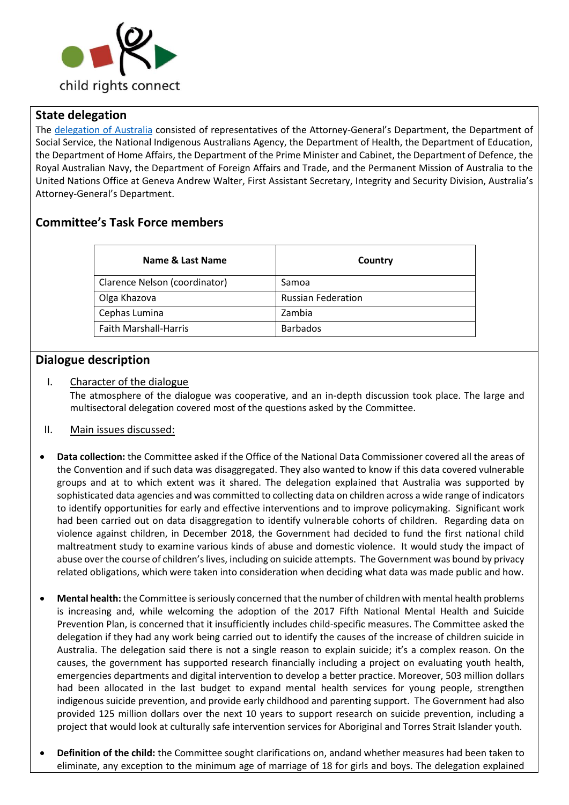

#### **State delegation**

The [delegation of Australia](https://tbinternet.ohchr.org/_layouts/15/treatybodyexternal/Download.aspx?symbolno=INT%2fCRC%2fLOP%2fAUS%2f37001&Lang=en) consisted of representatives of the Attorney-General's Department, the Department of Social Service, the National Indigenous Australians Agency, the Department of Health, the Department of Education, the Department of Home Affairs, the Department of the Prime Minister and Cabinet, the Department of Defence, the Royal Australian Navy, the Department of Foreign Affairs and Trade, and the Permanent Mission of Australia to the United Nations Office at Geneva Andrew Walter, First Assistant Secretary, Integrity and Security Division, Australia's Attorney-General's Department.

## **Committee's Task Force members**

| Country                   |
|---------------------------|
| Samoa                     |
| <b>Russian Federation</b> |
| Zambia                    |
| <b>Barbados</b>           |
|                           |

#### **Dialogue description**

#### I. Character of the dialogue

The atmosphere of the dialogue was cooperative, and an in-depth discussion took place. The large and multisectoral delegation covered most of the questions asked by the Committee.

- II. Main issues discussed:
- **Data collection:** the Committee asked if the Office of the National Data Commissioner covered all the areas of the Convention and if such data was disaggregated. They also wanted to know if this data covered vulnerable groups and at to which extent was it shared. The delegation explained that Australia was supported by sophisticated data agencies and was committed to collecting data on children across a wide range of indicators to identify opportunities for early and effective interventions and to improve policymaking. Significant work had been carried out on data disaggregation to identify vulnerable cohorts of children. Regarding data on violence against children, in December 2018, the Government had decided to fund the first national child maltreatment study to examine various kinds of abuse and domestic violence. It would study the impact of abuse over the course of children's lives, including on suicide attempts. The Government was bound by privacy related obligations, which were taken into consideration when deciding what data was made public and how.
- **Mental health:** the Committee is seriously concerned that the number of children with mental health problems is increasing and, while welcoming the adoption of the 2017 Fifth National Mental Health and Suicide Prevention Plan, is concerned that it insufficiently includes child-specific measures. The Committee asked the delegation if they had any work being carried out to identify the causes of the increase of children suicide in Australia. The delegation said there is not a single reason to explain suicide; it's a complex reason. On the causes, the government has supported research financially including a project on evaluating youth health, emergencies departments and digital intervention to develop a better practice. Moreover, 503 million dollars had been allocated in the last budget to expand mental health services for young people, strengthen indigenous suicide prevention, and provide early childhood and parenting support. The Government had also provided 125 million dollars over the next 10 years to support research on suicide prevention, including a project that would look at culturally safe intervention services for Aboriginal and Torres Strait Islander youth.
- **Definition of the child:** the Committee sought clarifications on, andand whether measures had been taken to eliminate, any exception to the minimum age of marriage of 18 for girls and boys. The delegation explained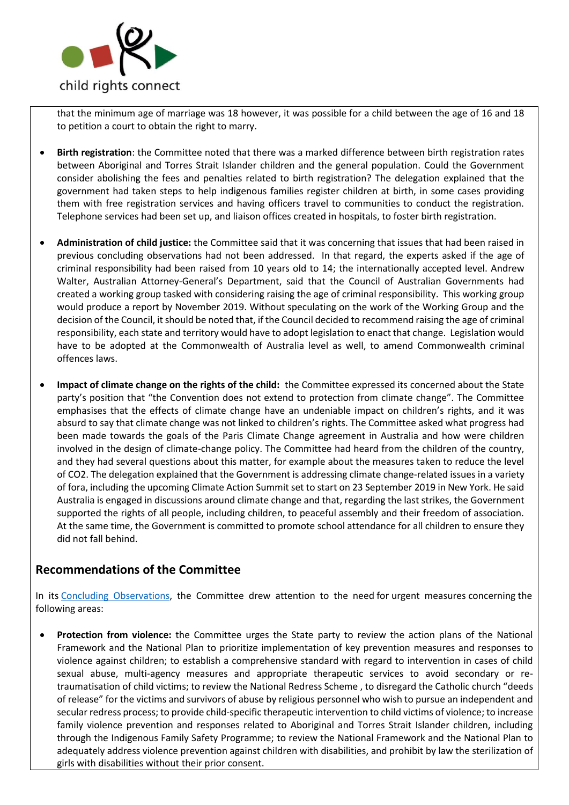

that the minimum age of marriage was 18 however, it was possible for a child between the age of 16 and 18 to petition a court to obtain the right to marry.

- **Birth registration**: the Committee noted that there was a marked difference between birth registration rates between Aboriginal and Torres Strait Islander children and the general population. Could the Government consider abolishing the fees and penalties related to birth registration? The delegation explained that the government had taken steps to help indigenous families register children at birth, in some cases providing them with free registration services and having officers travel to communities to conduct the registration. Telephone services had been set up, and liaison offices created in hospitals, to foster birth registration.
- **Administration of child justice:** the Committee said that it was concerning that issues that had been raised in previous concluding observations had not been addressed. In that regard, the experts asked if the age of criminal responsibility had been raised from 10 years old to 14; the internationally accepted level. Andrew Walter, Australian Attorney-General's Department, said that the Council of Australian Governments had created a working group tasked with considering raising the age of criminal responsibility. This working group would produce a report by November 2019. Without speculating on the work of the Working Group and the decision of the Council, it should be noted that, if the Council decided to recommend raising the age of criminal responsibility, each state and territory would have to adopt legislation to enact that change. Legislation would have to be adopted at the Commonwealth of Australia level as well, to amend Commonwealth criminal offences laws.
- **Impact of climate change on the rights of the child:** the Committee expressed its concerned about the State party's position that "the Convention does not extend to protection from climate change". The Committee emphasises that the effects of climate change have an undeniable impact on children's rights, and it was absurd to say that climate change was not linked to children's rights. The Committee asked what progress had been made towards the goals of the Paris Climate Change agreement in Australia and how were children involved in the design of climate-change policy. The Committee had heard from the children of the country, and they had several questions about this matter, for example about the measures taken to reduce the level of CO2. The delegation explained that the Government is addressing climate change-related issues in a variety of fora, including the upcoming Climate Action Summit set to start on 23 September 2019 in New York. He said Australia is engaged in discussions around climate change and that, regarding the last strikes, the Government supported the rights of all people, including children, to peaceful assembly and their freedom of association. At the same time, the Government is committed to promote school attendance for all children to ensure they did not fall behind.

## **Recommendations of the Committee**

In its Concluding [Observations,](https://tbinternet.ohchr.org/_layouts/15/treatybodyexternal/Download.aspx?symbolno=CRC%2fC%2fAUS%2fCO%2f5-6&Lang=en) the Committee drew attention to the need for urgent measures concerning the following areas:

• **Protection from violence:** the Committee urges the State party to review the action plans of the National Framework and the National Plan to prioritize implementation of key prevention measures and responses to violence against children; to establish a comprehensive standard with regard to intervention in cases of child sexual abuse, multi-agency measures and appropriate therapeutic services to avoid secondary or retraumatisation of child victims; to review the National Redress Scheme , to disregard the Catholic church "deeds of release" for the victims and survivors of abuse by religious personnel who wish to pursue an independent and secular redress process; to provide child-specific therapeutic intervention to child victims of violence; to increase family violence prevention and responses related to Aboriginal and Torres Strait Islander children, including through the Indigenous Family Safety Programme; to review the National Framework and the National Plan to adequately address violence prevention against children with disabilities, and prohibit by law the sterilization of girls with disabilities without their prior consent.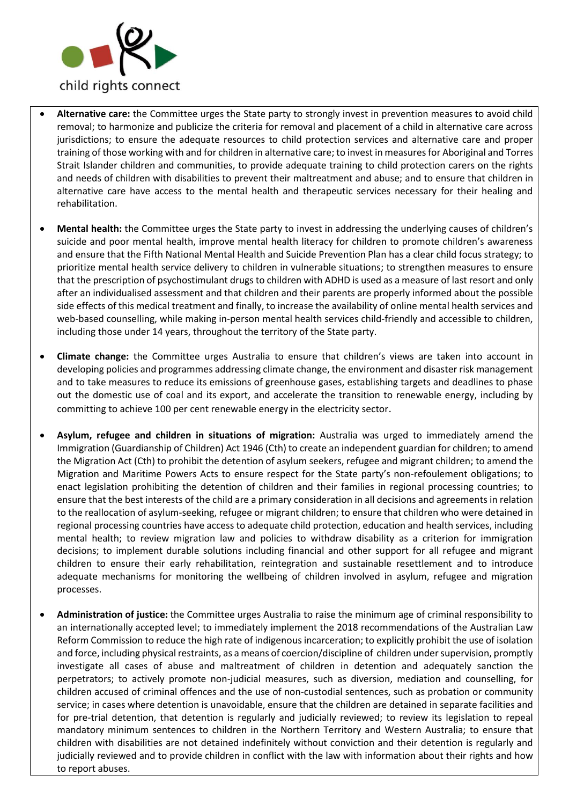

- **Alternative care:** the Committee urges the State party to strongly invest in prevention measures to avoid child removal; to harmonize and publicize the criteria for removal and placement of a child in alternative care across jurisdictions; to ensure the adequate resources to child protection services and alternative care and proper training of those working with and for children in alternative care; to invest in measures for Aboriginal and Torres Strait Islander children and communities, to provide adequate training to child protection carers on the rights and needs of children with disabilities to prevent their maltreatment and abuse; and to ensure that children in alternative care have access to the mental health and therapeutic services necessary for their healing and rehabilitation.
- **Mental health:** the Committee urges the State party to invest in addressing the underlying causes of children's suicide and poor mental health, improve mental health literacy for children to promote children's awareness and ensure that the Fifth National Mental Health and Suicide Prevention Plan has a clear child focus strategy; to prioritize mental health service delivery to children in vulnerable situations; to strengthen measures to ensure that the prescription of psychostimulant drugs to children with ADHD is used as a measure of last resort and only after an individualised assessment and that children and their parents are properly informed about the possible side effects of this medical treatment and finally, to increase the availability of online mental health services and web-based counselling, while making in-person mental health services child-friendly and accessible to children, including those under 14 years, throughout the territory of the State party.
- **Climate change:** the Committee urges Australia to ensure that children's views are taken into account in developing policies and programmes addressing climate change, the environment and disaster risk management and to take measures to reduce its emissions of greenhouse gases, establishing targets and deadlines to phase out the domestic use of coal and its export, and accelerate the transition to renewable energy, including by committing to achieve 100 per cent renewable energy in the electricity sector.
- **Asylum, refugee and children in situations of migration:** Australia was urged to immediately amend the Immigration (Guardianship of Children) Act 1946 (Cth) to create an independent guardian for children; to amend the Migration Act (Cth) to prohibit the detention of asylum seekers, refugee and migrant children; to amend the Migration and Maritime Powers Acts to ensure respect for the State party's non-refoulement obligations; to enact legislation prohibiting the detention of children and their families in regional processing countries; to ensure that the best interests of the child are a primary consideration in all decisions and agreements in relation to the reallocation of asylum-seeking, refugee or migrant children; to ensure that children who were detained in regional processing countries have access to adequate child protection, education and health services, including mental health; to review migration law and policies to withdraw disability as a criterion for immigration decisions; to implement durable solutions including financial and other support for all refugee and migrant children to ensure their early rehabilitation, reintegration and sustainable resettlement and to introduce adequate mechanisms for monitoring the wellbeing of children involved in asylum, refugee and migration processes.
- **Administration of justice:** the Committee urges Australia to raise the minimum age of criminal responsibility to an internationally accepted level; to immediately implement the 2018 recommendations of the Australian Law Reform Commission to reduce the high rate of indigenous incarceration; to explicitly prohibit the use of isolation and force, including physical restraints, as a means of coercion/discipline of children under supervision, promptly investigate all cases of abuse and maltreatment of children in detention and adequately sanction the perpetrators; to actively promote non-judicial measures, such as diversion, mediation and counselling, for children accused of criminal offences and the use of non-custodial sentences, such as probation or community service; in cases where detention is unavoidable, ensure that the children are detained in separate facilities and for pre-trial detention, that detention is regularly and judicially reviewed; to review its legislation to repeal mandatory minimum sentences to children in the Northern Territory and Western Australia; to ensure that children with disabilities are not detained indefinitely without conviction and their detention is regularly and judicially reviewed and to provide children in conflict with the law with information about their rights and how to report abuses.